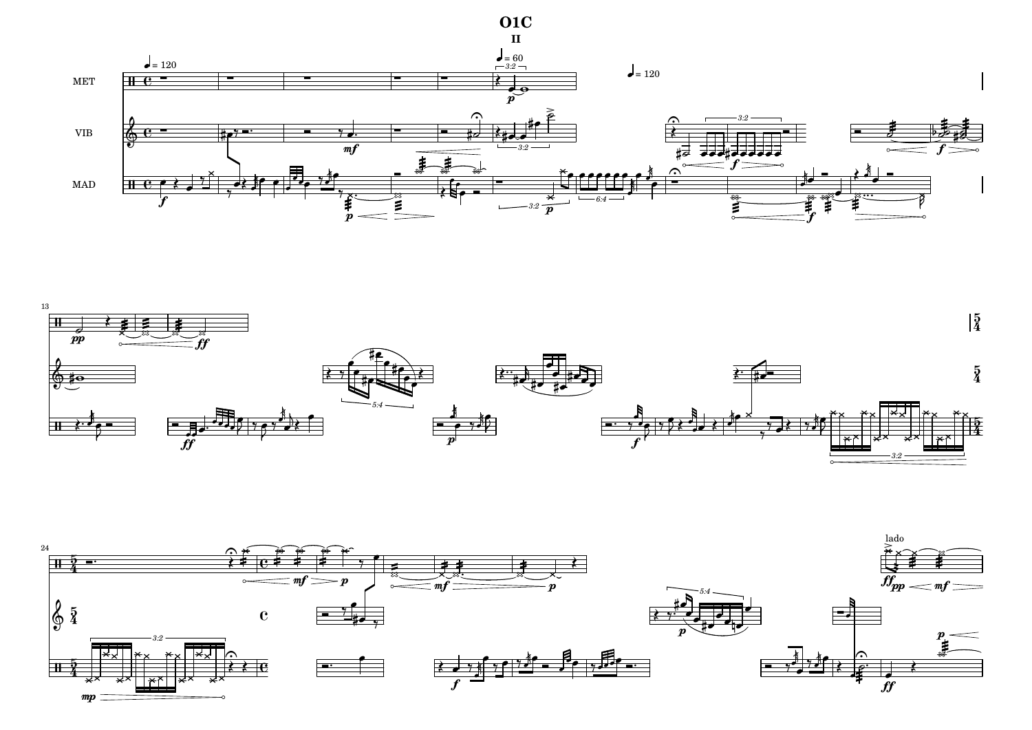



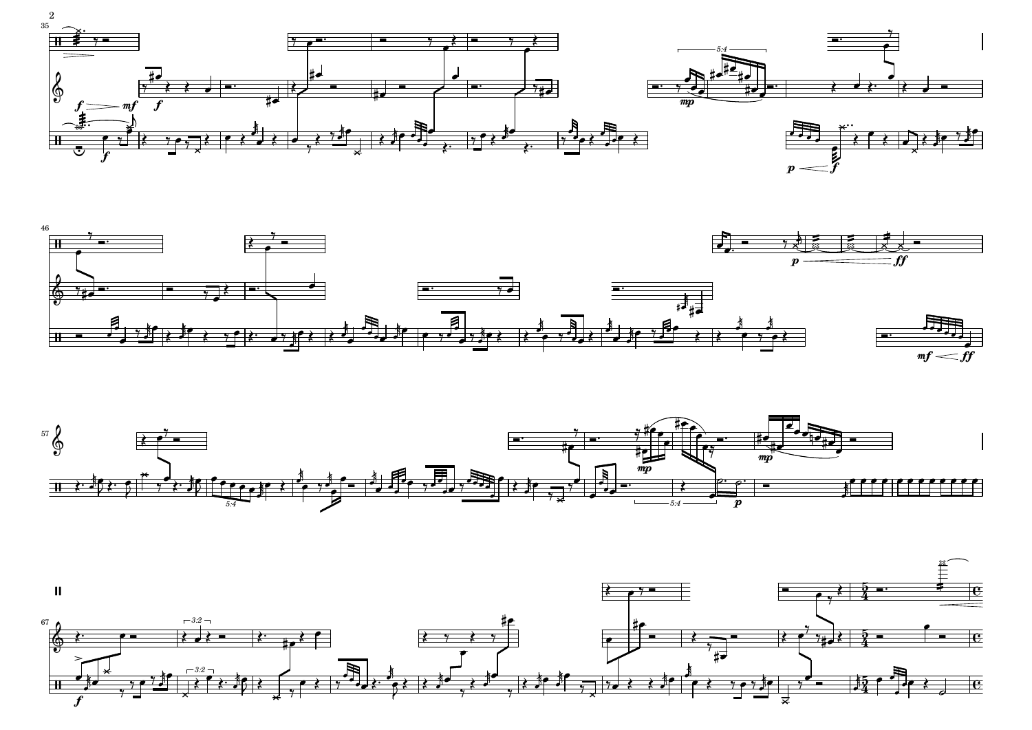